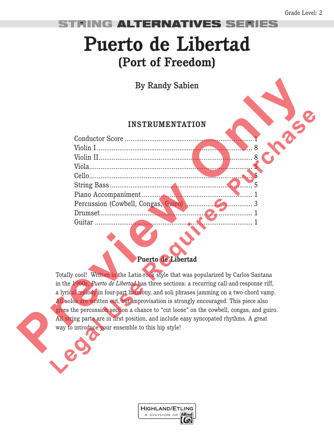#### LTERNATIVES 21 I SS **AN**

## **Puerto de Libertad (Port of Freedom)**

### **instrumentation**

| By Randy Sabien                                                                                                                                                                                                                                                                                                                                                                                                                                                                                                                                                                                                                                                                 |   |
|---------------------------------------------------------------------------------------------------------------------------------------------------------------------------------------------------------------------------------------------------------------------------------------------------------------------------------------------------------------------------------------------------------------------------------------------------------------------------------------------------------------------------------------------------------------------------------------------------------------------------------------------------------------------------------|---|
| <b>INSTRUMENTATION</b>                                                                                                                                                                                                                                                                                                                                                                                                                                                                                                                                                                                                                                                          |   |
| Percussion (Cowbell, Congas, Guiro)<br>Guitar<br>Puerto de Libertad<br>Totally cool! Written in the Latin-rock style that was popularized by Carlos Santana<br>in the 1960s, Puerto de Libertad has three sections: a recurring call-and-response riff,<br>a lyrical melody in four-part harmony, and soli phrases jamming on a two-chord vamp.<br>All solos are written out, but improvisation is strongly encouraged. This piece also<br>gives the percussion section a chance to "cut loose" on the cowbell, congas, and guiro.<br>All string parts are in first position, and include easy syncopated rhythms. A great<br>way to introduce your ensemble to this hip style! | 8 |

### **Puerto de Libertad**

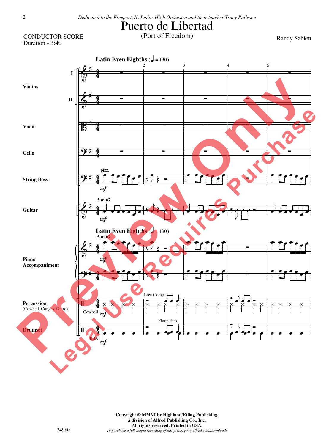# Puerto de Libertad

#### CONDUCTOR SCORE Duration - 3:40

Randy Sabien

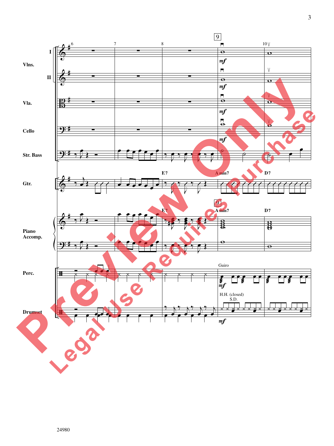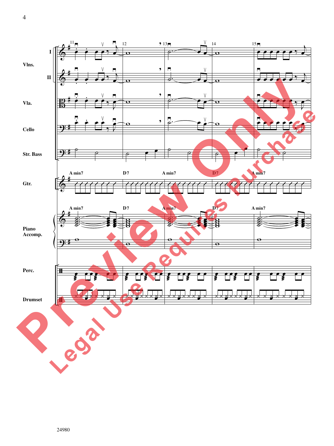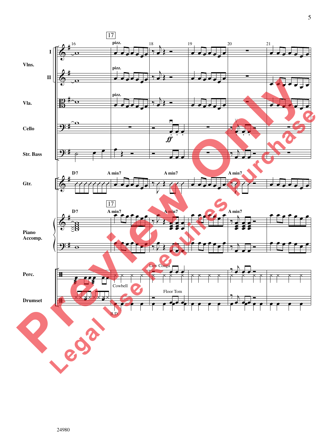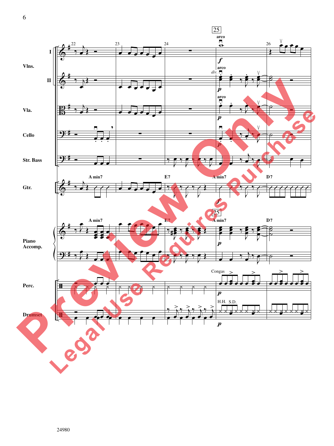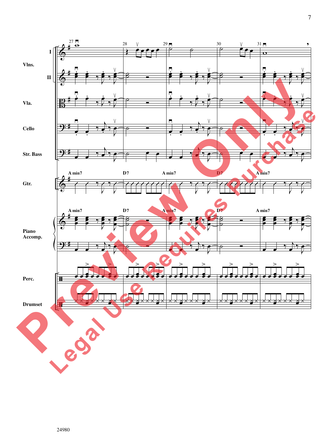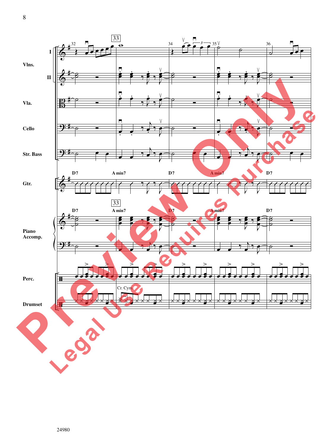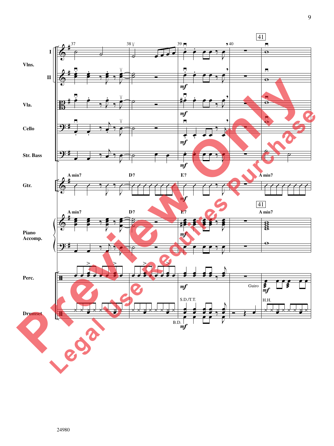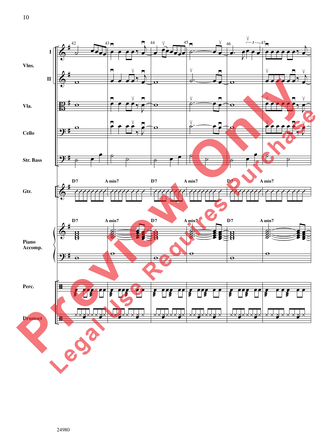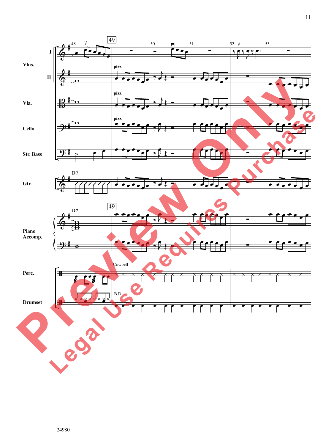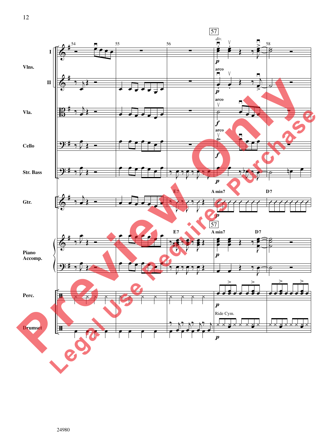![](_page_11_Figure_0.jpeg)

![](_page_11_Figure_1.jpeg)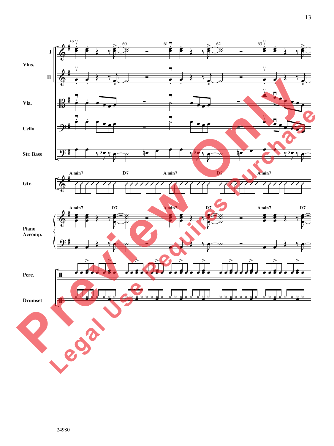![](_page_12_Figure_0.jpeg)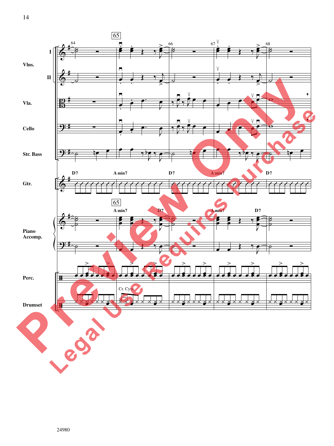![](_page_13_Figure_0.jpeg)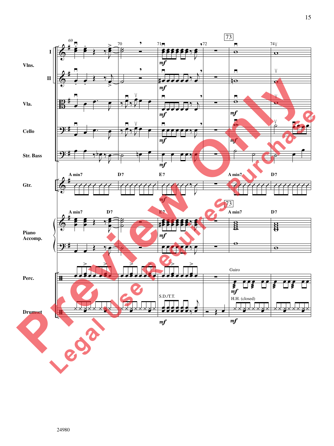![](_page_14_Figure_0.jpeg)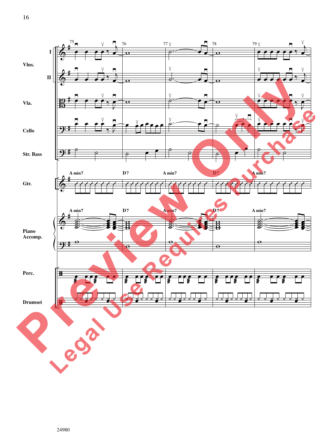![](_page_15_Figure_0.jpeg)

ã

 $\frac{1}{2}$ 

**x** 

 $\frac{M}{\lambda}$ 

œ

 $\bigoplus$ 

xxxx

 $\overline{\mathbf{z}}$ 

 $\overline{\mathbf{y}}$ 

**x** x x x

ex<br>X

œ

 $\overline{\mathbf{y}}$ 

 $\mathcal{F}$  of

 $\overline{\mathbb{X}}$ 

œ

 $\overline{\mathsf{y}}$ 

**x** x x x x

ex<br>x

≥

≥

≥

≥

 $\frac{1}{2}$ œ ≤

 $\frac{v}{\gamma}$ œ ≤

 $\frac{9}{2}$ r<br>R ≤

 $\mathcal{L}$ ≤

**x** x x x

**Drumset**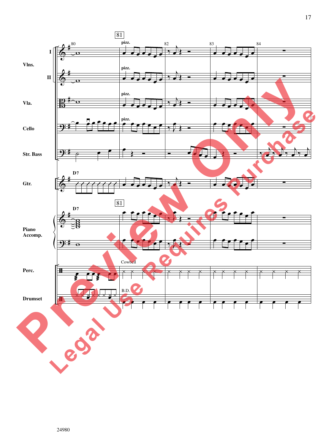![](_page_16_Figure_0.jpeg)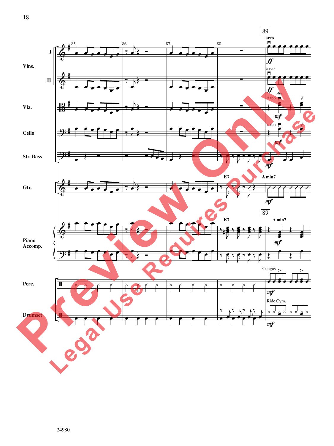![](_page_17_Figure_0.jpeg)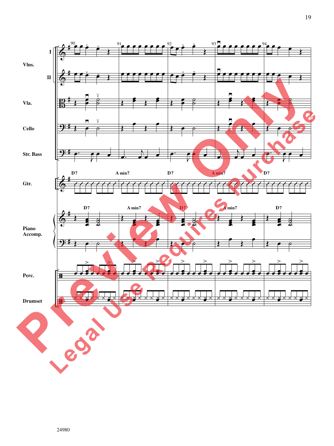![](_page_18_Figure_0.jpeg)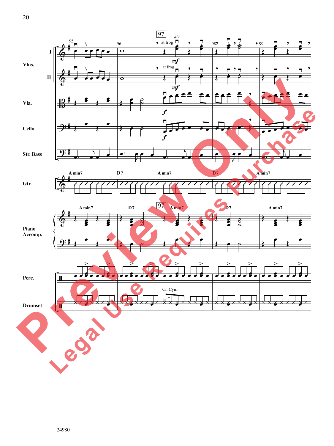![](_page_19_Figure_0.jpeg)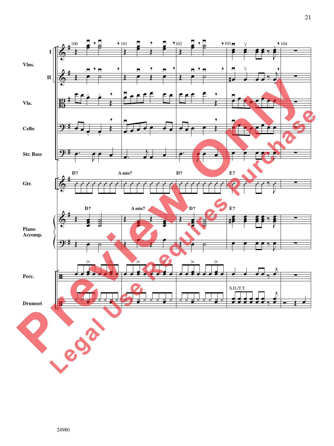![](_page_20_Figure_0.jpeg)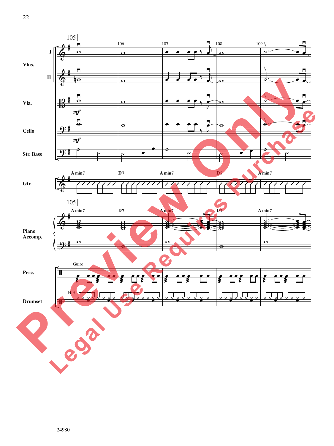![](_page_21_Figure_0.jpeg)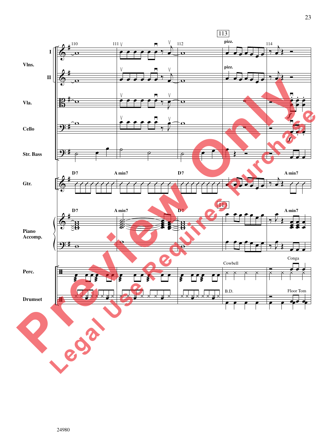![](_page_22_Figure_0.jpeg)